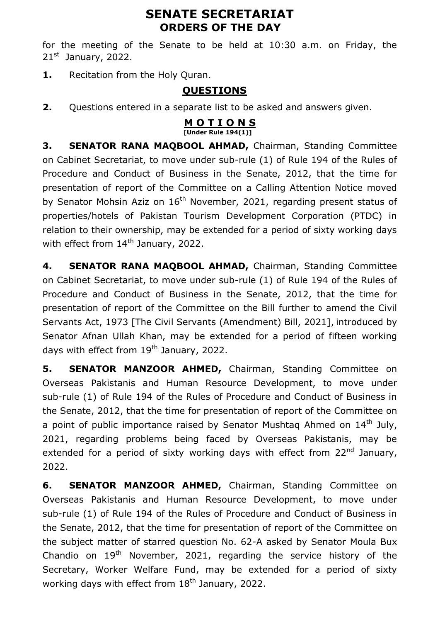# **SENATE SECRETARIAT ORDERS OF THE DAY**

for the meeting of the Senate to be held at 10:30 a.m. on Friday, the  $21<sup>st</sup>$  January, 2022.

1. Recitation from the Holy Quran.

# **QUESTIONS**

**2.** Questions entered in a separate list to be asked and answers given.

#### **M O T I O N S [Under Rule 194(1)]**

**3. SENATOR RANA MAQBOOL AHMAD,** Chairman, Standing Committee on Cabinet Secretariat, to move under sub-rule (1) of Rule 194 of the Rules of Procedure and Conduct of Business in the Senate, 2012, that the time for presentation of report of the Committee on a Calling Attention Notice moved by Senator Mohsin Aziz on  $16<sup>th</sup>$  November, 2021, regarding present status of properties/hotels of Pakistan Tourism Development Corporation (PTDC) in relation to their ownership, may be extended for a period of sixty working days with effect from  $14<sup>th</sup>$  January, 2022.

**4. SENATOR RANA MAQBOOL AHMAD,** Chairman, Standing Committee on Cabinet Secretariat, to move under sub-rule (1) of Rule 194 of the Rules of Procedure and Conduct of Business in the Senate, 2012, that the time for presentation of report of the Committee on the Bill further to amend the Civil Servants Act, 1973 [The Civil Servants (Amendment) Bill, 2021], introduced by Senator Afnan Ullah Khan, may be extended for a period of fifteen working days with effect from 19<sup>th</sup> January, 2022.

**5. SENATOR MANZOOR AHMED,** Chairman, Standing Committee on Overseas Pakistanis and Human Resource Development, to move under sub-rule (1) of Rule 194 of the Rules of Procedure and Conduct of Business in the Senate, 2012, that the time for presentation of report of the Committee on a point of public importance raised by Senator Mushtag Ahmed on  $14<sup>th</sup>$  July, 2021, regarding problems being faced by Overseas Pakistanis, may be extended for a period of sixty working days with effect from  $22<sup>nd</sup>$  January, 2022.

**6. SENATOR MANZOOR AHMED,** Chairman, Standing Committee on Overseas Pakistanis and Human Resource Development, to move under sub-rule (1) of Rule 194 of the Rules of Procedure and Conduct of Business in the Senate, 2012, that the time for presentation of report of the Committee on the subject matter of starred question No. 62-A asked by Senator Moula Bux Chandio on 19<sup>th</sup> November, 2021, regarding the service history of the Secretary, Worker Welfare Fund, may be extended for a period of sixty working days with effect from  $18<sup>th</sup>$  January, 2022.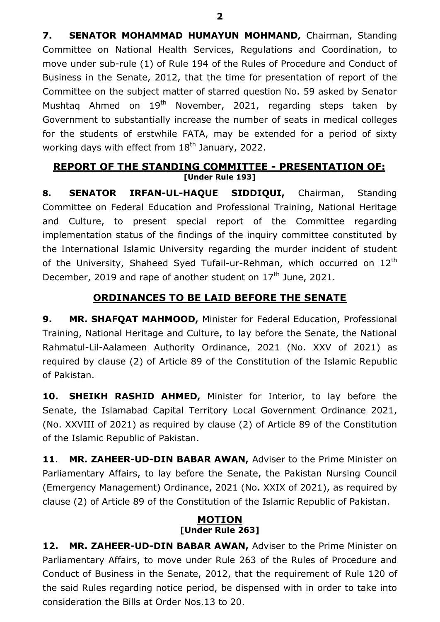**7. SENATOR MOHAMMAD HUMAYUN MOHMAND,** Chairman, Standing Committee on National Health Services, Regulations and Coordination, to move under sub-rule (1) of Rule 194 of the Rules of Procedure and Conduct of Business in the Senate, 2012, that the time for presentation of report of the Committee on the subject matter of starred question No. 59 asked by Senator Mushtag Ahmed on  $19^{th}$  November, 2021, regarding steps taken by Government to substantially increase the number of seats in medical colleges for the students of erstwhile FATA, may be extended for a period of sixty working days with effect from 18<sup>th</sup> January, 2022.

### **REPORT OF THE STANDING COMMITTEE - PRESENTATION OF: [Under Rule 193]**

**8. SENATOR IRFAN-UL-HAQUE SIDDIQUI,** Chairman, Standing Committee on Federal Education and Professional Training, National Heritage and Culture, to present special report of the Committee regarding implementation status of the findings of the inquiry committee constituted by the International Islamic University regarding the murder incident of student of the University, Shaheed Syed Tufail-ur-Rehman, which occurred on  $12<sup>th</sup>$ December, 2019 and rape of another student on 17<sup>th</sup> June, 2021.

# **ORDINANCES TO BE LAID BEFORE THE SENATE**

**9. MR. SHAFQAT MAHMOOD,** Minister for Federal Education, Professional Training, National Heritage and Culture, to lay before the Senate, the National Rahmatul-Lil-Aalameen Authority Ordinance, 2021 (No. XXV of 2021) as required by clause (2) of Article 89 of the Constitution of the Islamic Republic of Pakistan.

**10. SHEIKH RASHID AHMED,** Minister for Interior, to lay before the Senate, the Islamabad Capital Territory Local Government Ordinance 2021, (No. XXVIII of 2021) as required by clause (2) of Article 89 of the Constitution of the Islamic Republic of Pakistan.

**11**. **MR. ZAHEER-UD-DIN BABAR AWAN,** Adviser to the Prime Minister on Parliamentary Affairs, to lay before the Senate, the Pakistan Nursing Council (Emergency Management) Ordinance, 2021 (No. XXIX of 2021), as required by clause (2) of Article 89 of the Constitution of the Islamic Republic of Pakistan.

### **MOTION [Under Rule 263]**

**12. MR. ZAHEER-UD-DIN BABAR AWAN,** Adviser to the Prime Minister on Parliamentary Affairs, to move under Rule 263 of the Rules of Procedure and Conduct of Business in the Senate, 2012, that the requirement of Rule 120 of the said Rules regarding notice period, be dispensed with in order to take into consideration the Bills at Order Nos.13 to 20.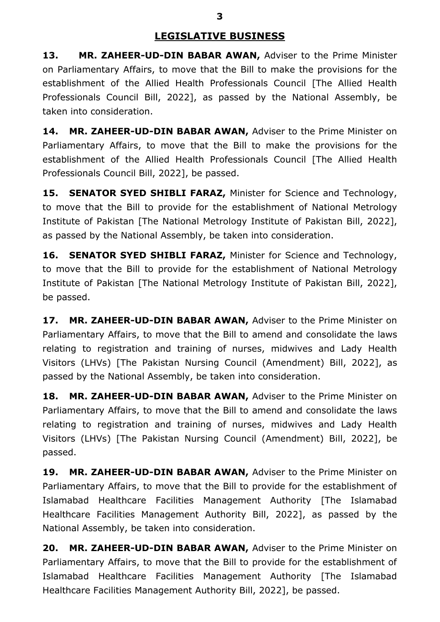## **LEGISLATIVE BUSINESS**

**13. MR. ZAHEER-UD-DIN BABAR AWAN,** Adviser to the Prime Minister on Parliamentary Affairs, to move that the Bill to make the provisions for the establishment of the Allied Health Professionals Council [The Allied Health Professionals Council Bill, 2022], as passed by the National Assembly, be taken into consideration.

**14. MR. ZAHEER-UD-DIN BABAR AWAN,** Adviser to the Prime Minister on Parliamentary Affairs, to move that the Bill to make the provisions for the establishment of the Allied Health Professionals Council [The Allied Health Professionals Council Bill, 2022], be passed.

**15. SENATOR SYED SHIBLI FARAZ,** Minister for Science and Technology, to move that the Bill to provide for the establishment of National Metrology Institute of Pakistan [The National Metrology Institute of Pakistan Bill, 2022], as passed by the National Assembly, be taken into consideration.

**16. SENATOR SYED SHIBLI FARAZ,** Minister for Science and Technology, to move that the Bill to provide for the establishment of National Metrology Institute of Pakistan [The National Metrology Institute of Pakistan Bill, 2022], be passed.

**17. MR. ZAHEER-UD-DIN BABAR AWAN,** Adviser to the Prime Minister on Parliamentary Affairs, to move that the Bill to amend and consolidate the laws relating to registration and training of nurses, midwives and Lady Health Visitors (LHVs) [The Pakistan Nursing Council (Amendment) Bill, 2022], as passed by the National Assembly, be taken into consideration.

**18. MR. ZAHEER-UD-DIN BABAR AWAN,** Adviser to the Prime Minister on Parliamentary Affairs, to move that the Bill to amend and consolidate the laws relating to registration and training of nurses, midwives and Lady Health Visitors (LHVs) [The Pakistan Nursing Council (Amendment) Bill, 2022], be passed.

**19. MR. ZAHEER-UD-DIN BABAR AWAN,** Adviser to the Prime Minister on Parliamentary Affairs, to move that the Bill to provide for the establishment of Islamabad Healthcare Facilities Management Authority [The Islamabad Healthcare Facilities Management Authority Bill, 2022], as passed by the National Assembly, be taken into consideration.

**20. MR. ZAHEER-UD-DIN BABAR AWAN,** Adviser to the Prime Minister on Parliamentary Affairs, to move that the Bill to provide for the establishment of Islamabad Healthcare Facilities Management Authority [The Islamabad Healthcare Facilities Management Authority Bill, 2022], be passed.